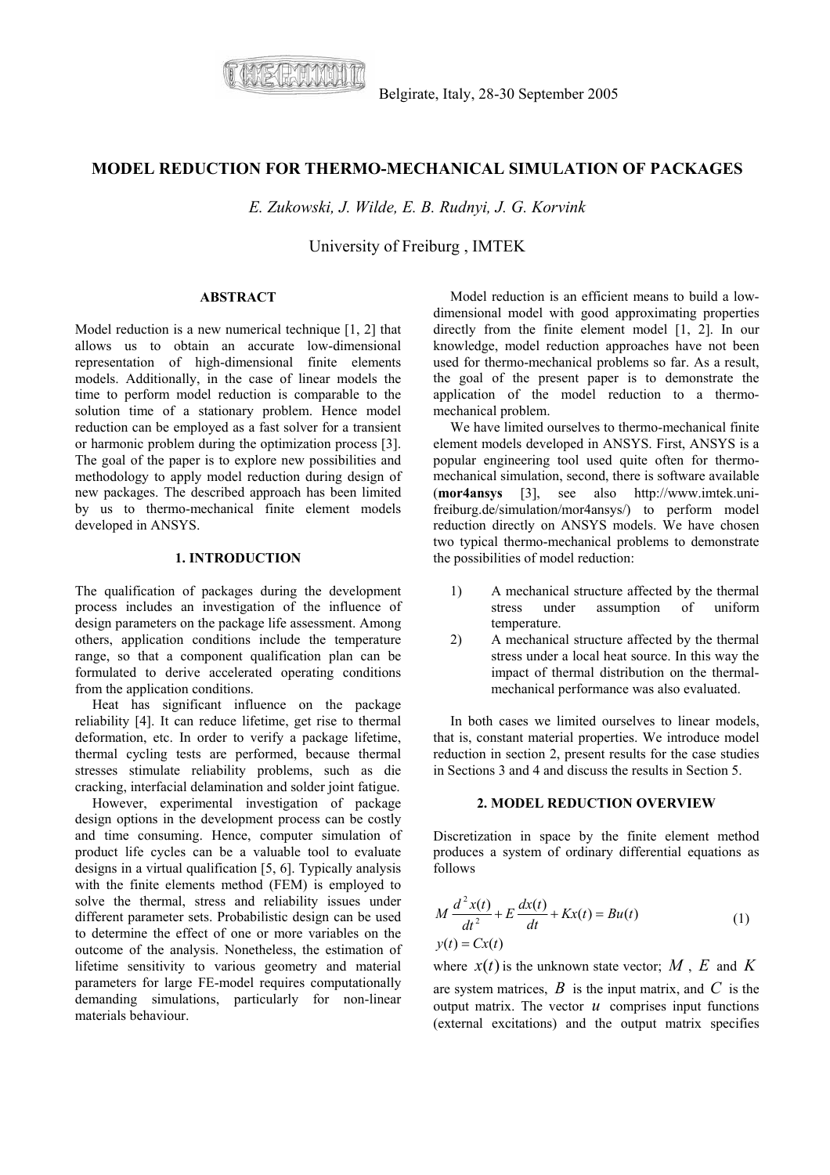

# **MODEL REDUCTION FOR THERMO-MECHANICAL SIMULATION OF PACKAGES**

*E. Zukowski, J. Wilde, E. B. Rudnyi, J. G. Korvink* 

University of Freiburg , IMTEK

#### **ABSTRACT**

Model reduction is a new numerical technique [1, 2] that allows us to obtain an accurate low-dimensional representation of high-dimensional finite elements models. Additionally, in the case of linear models the time to perform model reduction is comparable to the solution time of a stationary problem. Hence model reduction can be employed as a fast solver for a transient or harmonic problem during the optimization process [3]. The goal of the paper is to explore new possibilities and methodology to apply model reduction during design of new packages. The described approach has been limited by us to thermo-mechanical finite element models developed in ANSYS.

## **1. INTRODUCTION**

The qualification of packages during the development process includes an investigation of the influence of design parameters on the package life assessment. Among others, application conditions include the temperature range, so that a component qualification plan can be formulated to derive accelerated operating conditions from the application conditions.

Heat has significant influence on the package reliability [4]. It can reduce lifetime, get rise to thermal deformation, etc. In order to verify a package lifetime, thermal cycling tests are performed, because thermal stresses stimulate reliability problems, such as die cracking, interfacial delamination and solder joint fatigue.

However, experimental investigation of package design options in the development process can be costly and time consuming. Hence, computer simulation of product life cycles can be a valuable tool to evaluate designs in a virtual qualification [5, 6]. Typically analysis with the finite elements method (FEM) is employed to solve the thermal, stress and reliability issues under different parameter sets. Probabilistic design can be used to determine the effect of one or more variables on the outcome of the analysis. Nonetheless, the estimation of lifetime sensitivity to various geometry and material parameters for large FE-model requires computationally demanding simulations, particularly for non-linear materials behaviour.

Model reduction is an efficient means to build a lowdimensional model with good approximating properties directly from the finite element model [1, 2]. In our knowledge, model reduction approaches have not been used for thermo-mechanical problems so far. As a result, the goal of the present paper is to demonstrate the application of the model reduction to a thermomechanical problem.

We have limited ourselves to thermo-mechanical finite element models developed in ANSYS. First, ANSYS is a popular engineering tool used quite often for thermomechanical simulation, second, there is software available (**mor4ansys** [3], see also http://www.imtek.unifreiburg.de/simulation/mor4ansys/) to perform model reduction directly on ANSYS models. We have chosen two typical thermo-mechanical problems to demonstrate the possibilities of model reduction:

- 1) A mechanical structure affected by the thermal stress under assumption of uniform temperature.
- 2) A mechanical structure affected by the thermal stress under a local heat source. In this way the impact of thermal distribution on the thermalmechanical performance was also evaluated.

In both cases we limited ourselves to linear models, that is, constant material properties. We introduce model reduction in section 2, present results for the case studies in Sections 3 and 4 and discuss the results in Section 5.

## **2. MODEL REDUCTION OVERVIEW**

Discretization in space by the finite element method produces a system of ordinary differential equations as follows

$$
M\frac{d^2x(t)}{dt^2} + E\frac{dx(t)}{dt} + Kx(t) = Bu(t)
$$
  
y(t) = Cx(t) (1)

where  $x(t)$  is the unknown state vector;  $M$ ,  $E$  and  $K$ are system matrices,  $\hat{B}$  is the input matrix, and  $\hat{C}$  is the output matrix. The vector  $u$  comprises input functions (external excitations) and the output matrix specifies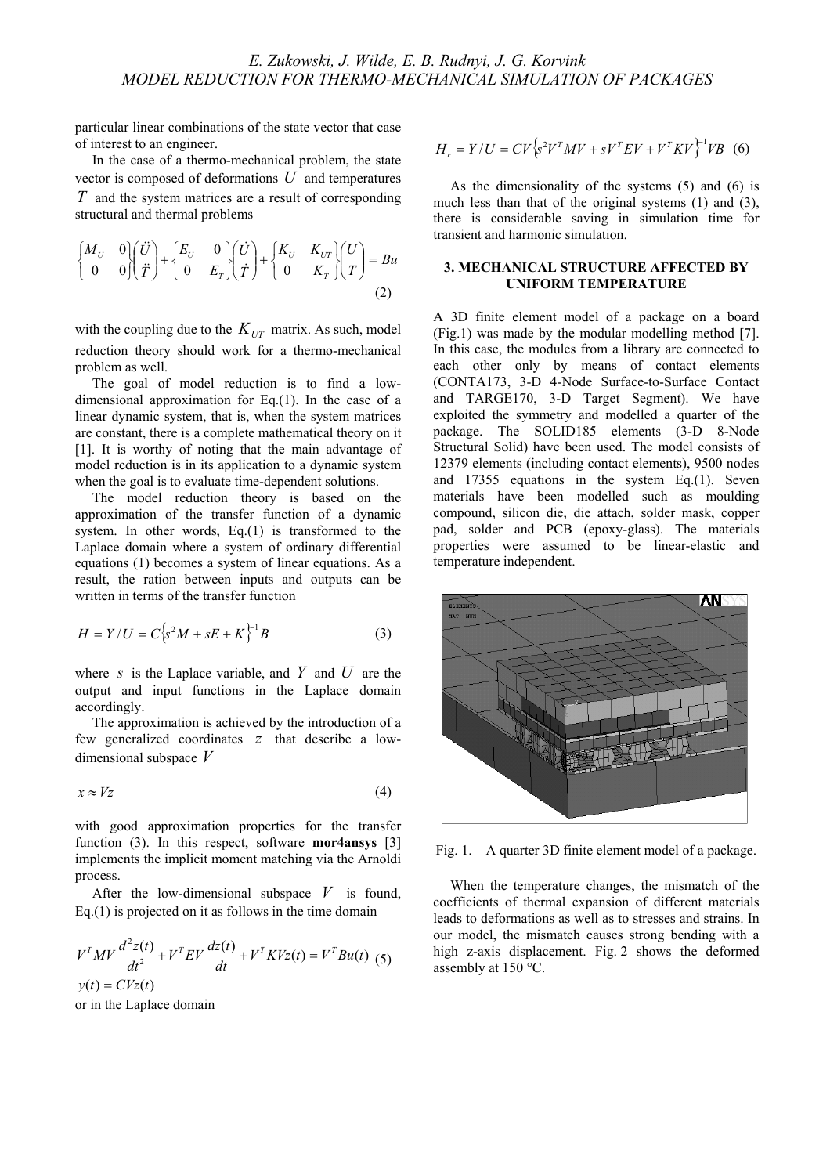particular linear combinations of the state vector that case of interest to an engineer.

In the case of a thermo-mechanical problem, the state vector is composed of deformations *U* and temperatures *T* and the system matrices are a result of corresponding structural and thermal problems

$$
\begin{cases}\nM_U & 0 \\
0 & 0\n\end{cases}\n\begin{pmatrix}\n\ddot{U} \\
\ddot{T}\n\end{pmatrix} +\n\begin{pmatrix}\nE_U & 0 \\
0 & E_T\n\end{pmatrix}\n\begin{pmatrix}\n\dot{U} \\
\dot{T}\n\end{pmatrix} +\n\begin{pmatrix}\nK_U & K_{UT} \\
0 & K_T\n\end{pmatrix}\n\begin{pmatrix}\nU \\
T\n\end{pmatrix} = Bu\n\end{cases}
$$
\n(2)

with the coupling due to the  $K_{UT}$  matrix. As such, model reduction theory should work for a thermo-mechanical problem as well.

The goal of model reduction is to find a lowdimensional approximation for Eq.(1). In the case of a linear dynamic system, that is, when the system matrices are constant, there is a complete mathematical theory on it [1]. It is worthy of noting that the main advantage of model reduction is in its application to a dynamic system when the goal is to evaluate time-dependent solutions.

The model reduction theory is based on the approximation of the transfer function of a dynamic system. In other words, Eq.(1) is transformed to the Laplace domain where a system of ordinary differential equations (1) becomes a system of linear equations. As a result, the ration between inputs and outputs can be written in terms of the transfer function

$$
H = Y/U = C \left\{ s^2 M + sE + K \right\}^{-1} B \tag{3}
$$

where *s* is the Laplace variable, and  $Y$  and  $U$  are the output and input functions in the Laplace domain accordingly.

The approximation is achieved by the introduction of a few generalized coordinates z that describe a lowdimensional subspace *V*

$$
x \approx Vz \tag{4}
$$

with good approximation properties for the transfer function (3). In this respect, software **mor4ansys** [3] implements the implicit moment matching via the Arnoldi process.

After the low-dimensional subspace  $V$  is found, Eq. $(1)$  is projected on it as follows in the time domain

$$
VTMV \frac{d2z(t)}{dt2} + VTEV \frac{dz(t)}{dt} + VTKVz(t) = VTBu(t)
$$
 (5)  

$$
y(t) = CVz(t)
$$

or in the Laplace domain

$$
H_r = Y/U = CV \left\{ s^2 V^T M V + s V^T E V + V^T K V \right\}^{-1} V B
$$
 (6)

As the dimensionality of the systems (5) and (6) is much less than that of the original systems (1) and (3), there is considerable saving in simulation time for transient and harmonic simulation.

## **3. MECHANICAL STRUCTURE AFFECTED BY UNIFORM TEMPERATURE**

A 3D finite element model of a package on a board (Fig.1) was made by the modular modelling method [7]. In this case, the modules from a library are connected to each other only by means of contact elements (CONTA173, 3-D 4-Node Surface-to-Surface Contact and TARGE170, 3-D Target Segment). We have exploited the symmetry and modelled a quarter of the package. The SOLID185 elements (3-D 8-Node Structural Solid) have been used. The model consists of 12379 elements (including contact elements), 9500 nodes and 17355 equations in the system Eq.(1). Seven materials have been modelled such as moulding compound, silicon die, die attach, solder mask, copper pad, solder and PCB (epoxy-glass). The materials properties were assumed to be linear-elastic and temperature independent.



Fig. 1. A quarter 3D finite element model of a package.

When the temperature changes, the mismatch of the coefficients of thermal expansion of different materials leads to deformations as well as to stresses and strains. In our model, the mismatch causes strong bending with a high z-axis displacement. Fig. 2 shows the deformed assembly at 150 °C.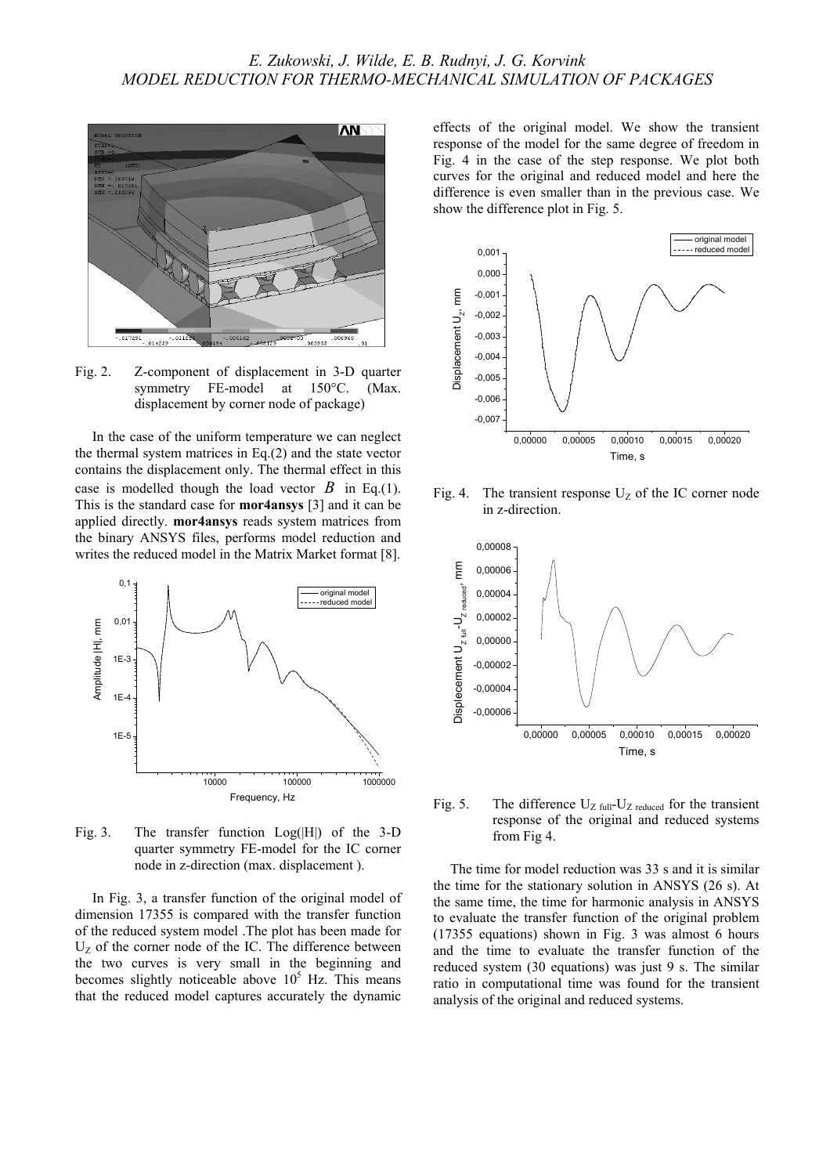

Fig. 2. Z-component of displacement in 3-D quarter symmetry FE-model at 150°C. (Max. displacement by corner node of package)

In the case of the uniform temperature we can neglect the thermal system matrices in Eq.(2) and the state vector contains the displacement only. The thermal effect in this case is modelled though the load vector  $B$  in Eq.(1). This is the standard case for **mor4ansys** [3] and it can be applied directly. **mor4ansys** reads system matrices from the binary ANSYS files, performs model reduction and writes the reduced model in the Matrix Market format [8].



Fig. 3. The transfer function  $Log(H)$  of the 3-D quarter symmetry FE-model for the IC corner node in z-direction (max. displacement ).

In Fig. 3, a transfer function of the original model of dimension 17355 is compared with the transfer function of the reduced system model .The plot has been made for  $U_Z$  of the corner node of the IC. The difference between the two curves is very small in the beginning and becomes slightly noticeable above  $10<sup>5</sup>$  Hz. This means that the reduced model captures accurately the dynamic

effects of the original model. We show the transient response of the model for the same degree of freedom in Fig. 4 in the case of the step response. We plot both curves for the original and reduced model and here the difference is even smaller than in the previous case. We show the difference plot in Fig. 5.



Fig. 4. The transient response  $U_z$  of the IC corner node in z-direction.



Fig. 5. The difference  $U_{Z \text{ full}}-U_{Z \text{ reduced}}$  for the transient response of the original and reduced systems from Fig 4.

The time for model reduction was 33 s and it is similar the time for the stationary solution in ANSYS (26 s). At the same time, the time for harmonic analysis in ANSYS to evaluate the transfer function of the original problem (17355 equations) shown in Fig. 3 was almost 6 hours and the time to evaluate the transfer function of the reduced system (30 equations) was just 9 s. The similar ratio in computational time was found for the transient analysis of the original and reduced systems.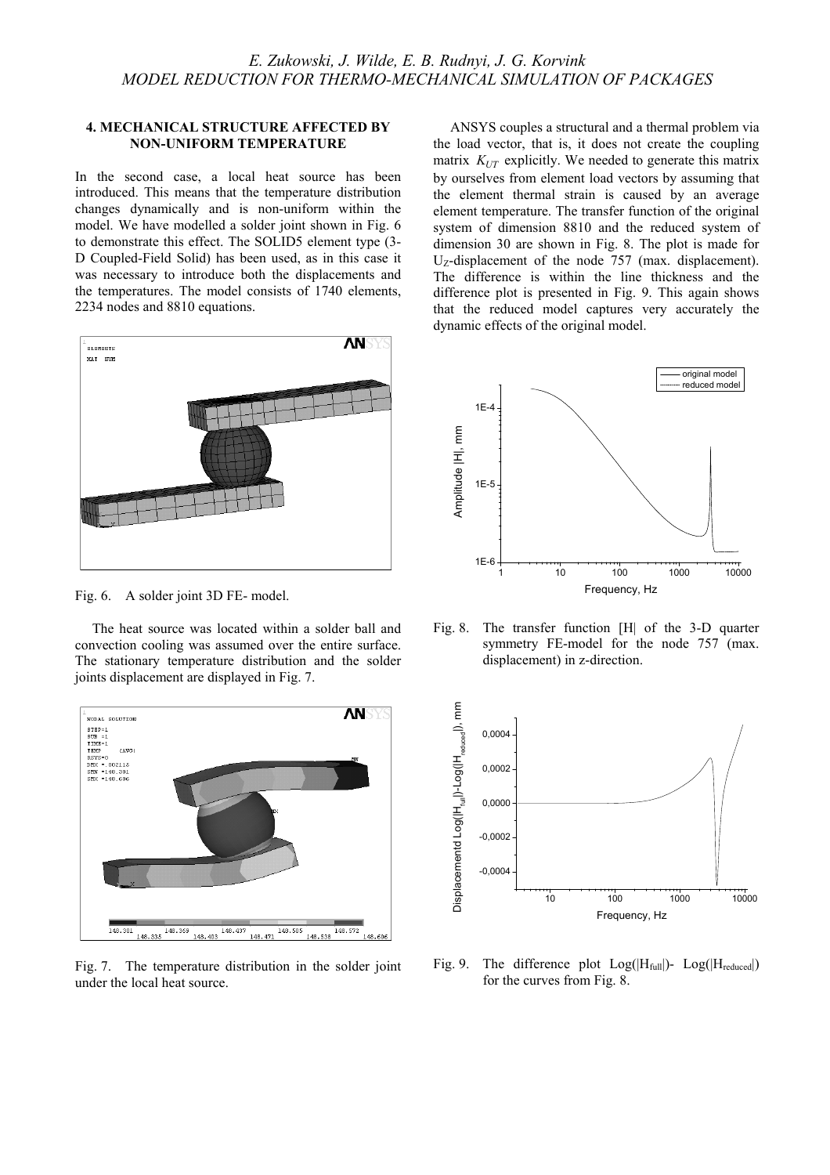#### **4. MECHANICAL STRUCTURE AFFECTED BY NON-UNIFORM TEMPERATURE**

In the second case, a local heat source has been introduced. This means that the temperature distribution changes dynamically and is non-uniform within the model. We have modelled a solder joint shown in Fig. 6 to demonstrate this effect. The SOLID5 element type (3- D Coupled-Field Solid) has been used, as in this case it was necessary to introduce both the displacements and the temperatures. The model consists of 1740 elements, 2234 nodes and 8810 equations.



Fig. 6. A solder joint 3D FE- model.

The heat source was located within a solder ball and convection cooling was assumed over the entire surface. The stationary temperature distribution and the solder joints displacement are displayed in Fig. 7.



Fig. 7. The temperature distribution in the solder joint under the local heat source.

ANSYS couples a structural and a thermal problem via the load vector, that is, it does not create the coupling matrix  $K_{UT}$  explicitly. We needed to generate this matrix by ourselves from element load vectors by assuming that the element thermal strain is caused by an average element temperature. The transfer function of the original system of dimension 8810 and the reduced system of dimension 30 are shown in Fig. 8. The plot is made for  $U_{Z}$ -displacement of the node 757 (max. displacement). The difference is within the line thickness and the difference plot is presented in Fig. 9. This again shows that the reduced model captures very accurately the dynamic effects of the original model.



Fig. 8. The transfer function [H| of the 3-D quarter symmetry FE-model for the node 757 (max. displacement) in z-direction.



Fig. 9. The difference plot  $Log(H_{full})$ -  $Log(H_{reduced})$ for the curves from Fig. 8.